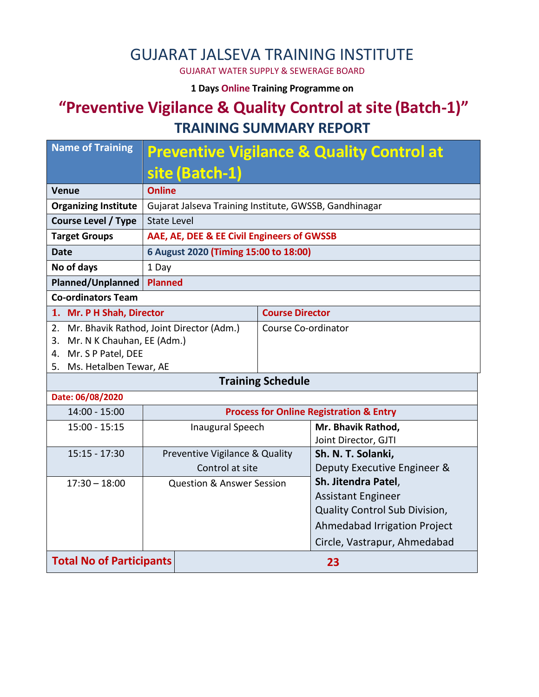## GUJARAT JALSEVA TRAINING INSTITUTE

GUJARAT WATER SUPPLY & SEWERAGE BOARD

**1 Days Online Training Programme on** 

## **"Preventive Vigilance & Quality Control at site (Batch-1)" TRAINING SUMMARY REPORT**

| <b>Name of Training</b>                     | <b>Preventive Vigilance &amp; Quality Control at</b>   |                        |                                                    |  |  |  |
|---------------------------------------------|--------------------------------------------------------|------------------------|----------------------------------------------------|--|--|--|
|                                             | site (Batch-1)                                         |                        |                                                    |  |  |  |
| <b>Venue</b>                                | <b>Online</b>                                          |                        |                                                    |  |  |  |
| <b>Organizing Institute</b>                 | Gujarat Jalseva Training Institute, GWSSB, Gandhinagar |                        |                                                    |  |  |  |
| <b>Course Level / Type</b>                  | <b>State Level</b>                                     |                        |                                                    |  |  |  |
| <b>Target Groups</b>                        | AAE, AE, DEE & EE Civil Engineers of GWSSB             |                        |                                                    |  |  |  |
| <b>Date</b>                                 | 6 August 2020 (Timing 15:00 to 18:00)                  |                        |                                                    |  |  |  |
| No of days                                  | 1 Day                                                  |                        |                                                    |  |  |  |
| Planned/Unplanned                           | <b>Planned</b>                                         |                        |                                                    |  |  |  |
| <b>Co-ordinators Team</b>                   |                                                        |                        |                                                    |  |  |  |
| 1. Mr. P H Shah, Director                   |                                                        | <b>Course Director</b> |                                                    |  |  |  |
| 2. Mr. Bhavik Rathod, Joint Director (Adm.) |                                                        | Course Co-ordinator    |                                                    |  |  |  |
|                                             | 3. Mr. N K Chauhan, EE (Adm.)                          |                        |                                                    |  |  |  |
| 4. Mr. S P Patel, DEE                       |                                                        |                        |                                                    |  |  |  |
| 5. Ms. Hetalben Tewar, AE                   |                                                        |                        |                                                    |  |  |  |
| <b>Training Schedule</b>                    |                                                        |                        |                                                    |  |  |  |
| Date: 06/08/2020                            |                                                        |                        |                                                    |  |  |  |
| $14:00 - 15:00$                             |                                                        |                        | <b>Process for Online Registration &amp; Entry</b> |  |  |  |
| $15:00 - 15:15$                             | <b>Inaugural Speech</b>                                |                        | Mr. Bhavik Rathod,                                 |  |  |  |
|                                             |                                                        |                        | Joint Director, GJTI                               |  |  |  |
| $15:15 - 17:30$                             | Preventive Vigilance & Quality                         |                        | Sh. N. T. Solanki,                                 |  |  |  |
|                                             | Control at site                                        |                        | Deputy Executive Engineer &                        |  |  |  |
| $17:30 - 18:00$                             | <b>Question &amp; Answer Session</b>                   |                        | Sh. Jitendra Patel,                                |  |  |  |
|                                             |                                                        |                        | <b>Assistant Engineer</b>                          |  |  |  |
|                                             |                                                        |                        | Quality Control Sub Division,                      |  |  |  |
|                                             |                                                        |                        | Ahmedabad Irrigation Project                       |  |  |  |
|                                             |                                                        |                        | Circle, Vastrapur, Ahmedabad                       |  |  |  |
| <b>Total No of Participants</b><br>23       |                                                        |                        |                                                    |  |  |  |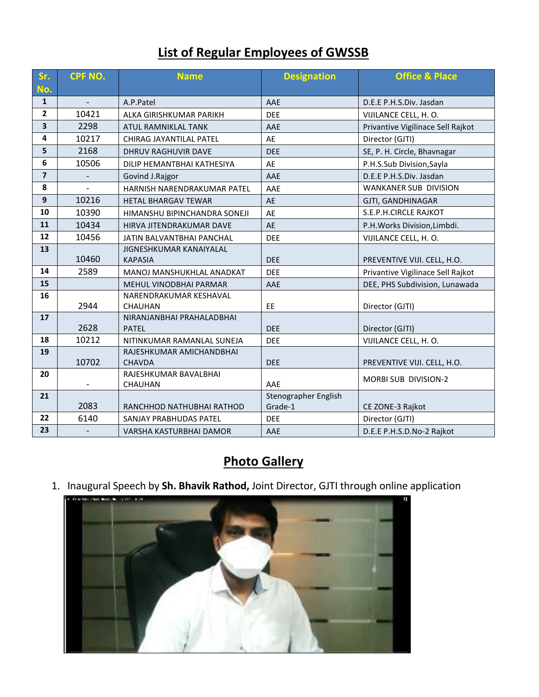## **List of Regular Employees of GWSSB**

| Sr.                     | <b>CPF NO.</b>           | <b>Name</b>                               | <b>Designation</b>   | <b>Office &amp; Place</b>         |
|-------------------------|--------------------------|-------------------------------------------|----------------------|-----------------------------------|
| No.                     |                          |                                           |                      |                                   |
| $\mathbf{1}$            |                          | A.P.Patel                                 | AAE                  | D.E.E P.H.S.Div. Jasdan           |
| $\overline{2}$          | 10421                    | ALKA GIRISHKUMAR PARIKH                   | <b>DEE</b>           | VIJILANCE CELL, H. O.             |
| $\overline{\mathbf{3}}$ | 2298                     | ATUL RAMNIKLAL TANK                       | AAE                  | Privantive Vigilinace Sell Rajkot |
| 4                       | 10217                    | CHIRAG JAYANTILAL PATEL                   | AE                   | Director (GJTI)                   |
| 5                       | 2168                     | <b>DHRUV RAGHUVIR DAVE</b>                | <b>DEE</b>           | SE, P. H. Circle, Bhavnagar       |
| 6                       | 10506                    | DILIP HEMANTBHAI KATHESIYA                | AE                   | P.H.S.Sub Division,Sayla          |
| $\overline{\mathbf{z}}$ | $\overline{\phantom{a}}$ | Govind J.Rajgor                           | AAE                  | D.E.E P.H.S.Div. Jasdan           |
| 8                       | $\overline{\phantom{a}}$ | HARNISH NARENDRAKUMAR PATEL               | AAE                  | WANKANER SUB DIVISION             |
| 9                       | 10216                    | <b>HETAL BHARGAV TEWAR</b>                | AE                   | GJTI, GANDHINAGAR                 |
| 10                      | 10390                    | HIMANSHU BIPINCHANDRA SONEJI              | AE                   | S.E.P.H.CIRCLE RAJKOT             |
| 11                      | 10434                    | HIRVA JITENDRAKUMAR DAVE                  | AE                   | P.H. Works Division, Limbdi.      |
| 12                      | 10456                    | JATIN BALVANTBHAI PANCHAL                 | <b>DEE</b>           | VIJILANCE CELL, H. O.             |
| 13                      |                          | <b>JIGNESHKUMAR KANAIYALAL</b>            |                      |                                   |
|                         | 10460                    | <b>KAPASIA</b>                            | <b>DEE</b>           | PREVENTIVE VIJI. CELL, H.O.       |
| 14                      | 2589                     | MANOJ MANSHUKHLAL ANADKAT                 | <b>DEE</b>           | Privantive Vigilinace Sell Rajkot |
| 15                      |                          | MEHUL VINODBHAI PARMAR                    | AAE                  | DEE, PHS Subdivision, Lunawada    |
| 16                      |                          | NARENDRAKUMAR KESHAVAL                    |                      |                                   |
|                         | 2944                     | <b>CHAUHAN</b>                            | EE                   | Director (GJTI)                   |
| 17                      | 2628                     | NIRANJANBHAI PRAHALADBHAI<br><b>PATEL</b> | <b>DEE</b>           | Director (GJTI)                   |
| 18                      | 10212                    | NITINKUMAR RAMANLAL SUNEJA                | <b>DEE</b>           | VIJILANCE CELL, H. O.             |
| 19                      |                          | RAJESHKUMAR AMICHANDBHAI                  |                      |                                   |
|                         | 10702                    | <b>CHAVDA</b>                             | <b>DEE</b>           | PREVENTIVE VIJI. CELL, H.O.       |
| 20                      |                          | RAJESHKUMAR BAVALBHAI                     |                      |                                   |
|                         |                          | CHAUHAN                                   | AAE                  | MORBI SUB DIVISION-2              |
| 21                      |                          |                                           | Stenographer English |                                   |
|                         | 2083                     | RANCHHOD NATHUBHAI RATHOD                 | Grade-1              | CE ZONE-3 Rajkot                  |
| 22                      | 6140                     | SANJAY PRABHUDAS PATEL                    | <b>DEE</b>           | Director (GJTI)                   |
| 23                      | $\overline{\phantom{a}}$ | VARSHA KASTURBHAI DAMOR                   | AAE                  | D.E.E P.H.S.D.No-2 Rajkot         |

## **Photo Gallery**

1. Inaugural Speech by **Sh. Bhavik Rathod,** Joint Director, GJTI through online application